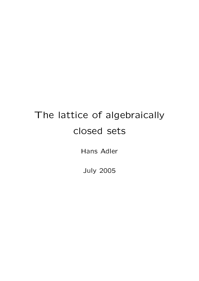# The lattice of algebraically closed sets

Hans Adler

July 2005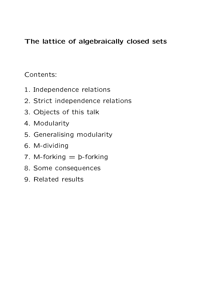#### The lattice of algebraically closed sets

Contents:

- 1. Independence relations
- 2. Strict independence relations
- 3. Objects of this talk
- 4. Modularity
- 5. Generalising modularity
- 6. M-dividing
- 7. M-forking  $=$   $p$ -forking
- 8. Some consequences
- 9. Related results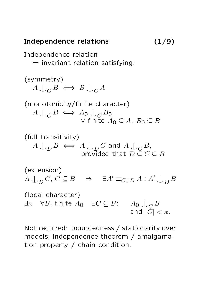### Independence relations (1/9)

Independence relation  $=$  invariant relation satisfying: (symmetry)  $A\bigcup_C B \iff B\bigcup_C A$ (monotonicity/finite character)  $A \cup_C B \iff A_0 \cup_C B_0$  $\forall$  finite  $A_0 \subseteq A$ ,  $B_0 \subseteq B$ 

(full transitivity)

\n
$$
A \cup_{D} B \iff A \cup_{D} C \text{ and } A \cup_{C} B,
$$
\nprovided that  $D \subseteq C \subseteq B$ 

\n(extension)

\n
$$
A \cup_{D} C, C \subseteq B \implies \exists A' \equiv_{C \cup D} A : A' \cup_{D} B
$$
\n(local character)

 $\exists \kappa \quad \forall B, \text{ finite } A_0 \quad \exists C \subseteq B \colon \quad A_0 \cup_C B$ and  $|C| < \kappa$ .

Not required: boundedness / stationarity over models; independence theorem / amalgamation property / chain condition.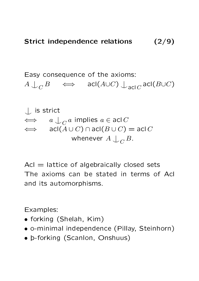Easy consequence of the axioms:  $A\bigcup_C B \quad\iff\quad \mathsf{acl}(A\cup C)\bigcup_{\mathsf{acl}(C}\mathsf{acl}(B\cup C)$ 

^| is strict  $\qquad \Longleftrightarrow \quad \ \ a\bigcup_C a \,\,\text{implies}\,\, a\in \mathsf{acl}\, C$  $\iff$  acl( $A \cup C$ ) ∩ acl( $B \cup C$ ) = acl  $C$ whenever  $A\mathrel{\mathop{\downarrow}_{C}} B.$ 

 $Acl =$  lattice of algebraically closed sets The axioms can be stated in terms of Acl and its automorphisms.

Examples:

- forking (Shelah, Kim)
- o-minimal independence (Pillay, Steinhorn)
- þ-forking (Scanlon, Onshuus)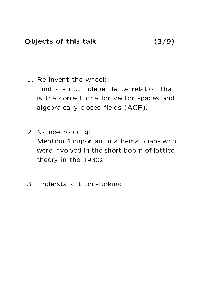Objects of this talk (3/9)

1. Re-invent the wheel:

Find a strict independence relation that is the correct one for vector spaces and algebraically closed fields (ACF).

- 2. Name-dropping: Mention 4 important mathematicians who were involved in the short boom of lattice theory in the 1930s.
- 3. Understand thorn-forking.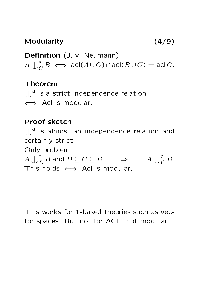#### Modularity (4/9)

Definition (J. v. Neumann)  $A \downarrow_c^a$  $\overline{C}$   $B \iff \mathsf{acl}(A\cup C) \cap \mathsf{acl}(B\cup C) = \mathsf{acl}(C).$ 

### Theorem

 $\bigcup$ <sup>a</sup> is a strict independence relation </u> Acl is modular.

#### Proof sketch

 $\bigcup$ <sup>a</sup> is almost an independence relation and certainly strict. Only problem:  $A \bigcup_{L}^{\mathsf{a}}$  $D_D^{\mathsf{d}} B$  and  $D \subseteq C \subseteq B$   $\Rightarrow$  A  $\bigcup_C^a$  $\frac{a}{C}B$ . This holds  $\iff$  Acl is modular.

This works for 1-based theories such as vector spaces. But not for ACF: not modular.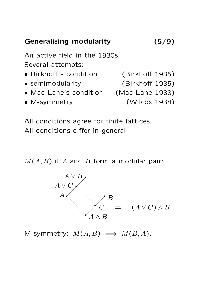## Generalising modularity (5/9)

An active field in the 1930s. Several attempts:

- Birkhoff's condition (Birkhoff 1935)
- semimodularity (Birkhoff 1935)
- Mac Lane's condition (Mac Lane 1938)
- M-symmetry (Wilcox 1938)
- 
- 
- -

All conditions agree for finite lattices. All conditions differ in general.

 $M(A, B)$  if A and B form a modular pair:



M-symmetry:  $M(A, B) \iff M(B, A)$ .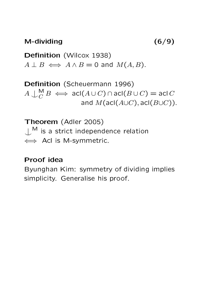M-dividing (6/9)

Definition (Wilcox 1938)  $A \perp B \iff A \wedge B = 0$  and  $M(A, B)$ .

Definition (Scheuermann 1996)  $A\bigcup_{C}^{\mathsf{M}} B \iff \mathsf{acl}(A\cup C)\cap \mathsf{acl}(B\cup C)=\mathsf{acl}(C)$ and  $M(\text{acl}(A\cup C), \text{acl}(B\cup C)).$ 

Theorem (Adler 2005)  $\bigcup$ <sup>M</sup> is a strict independence relation ⇐⇒ Acl is M-symmetric.

#### Proof idea

Byunghan Kim: symmetry of dividing implies simplicity. Generalise his proof.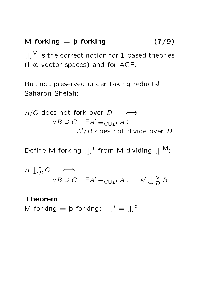#### M-forking  $=$   $\mathsf{b}\text{-}$  forking  $(7/9)$

 $M_{\text{max}}$  is the correct notion for 1-based theories (like vector spaces) and for ACF.

But not preserved under taking reducts! Saharon Shelah:

 $A/C$  does not fork over  $D \quad \iff$  $\forall B \supset C \quad \exists A' \equiv_{C \cup D} A$ :  $A'/B$  does not divide over  $D$ .

Define M-forking  $\int^*$  from M-dividing  $\int^M$ :

 $A \downarrow^*_{I}$  $_D^*C \iff$  $\forall B \supseteq C \quad \exists A' \equiv_{C \cup D} A : \quad A' \cup_{D}^{\mathsf{M}} B.$ 

#### Theorem

M-forking  $=$  þ-forking:  $\downarrow^* = \downarrow^{\,}$ p.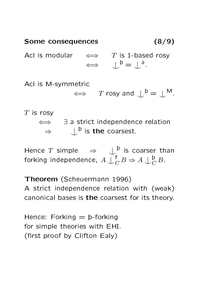# Some consequences (8/9) Acl is modular  $\iff$  T is 1-based rosy  $\Leftrightarrow \qquad \downarrow^{\,b} = \downarrow^{\,a}.$

Acl is M-symmetric

 $\iff$  T rosy and  $\bigcup^{\mathsf{b}} = \bigcup^{\mathsf{M}}$ .

#### $T$  is rosy

⇐⇒ ∃ a strict independence relation  $\Rightarrow \qquad \downarrow^{\text{b}}$  is the coarsest.

Hence T simple  $\Rightarrow \quad \downarrow^{\mathsf{b}}_{\mathsf{f}}$  is coarser than forking independence,  $A\mathop{\smile}\limits^{\mathop{\leftarrow}\limits^{\mathop{\leftarrow}\limits}_{\mathop{\leftarrow}\limits^{\mathop{\leftarrow}\limits}}} A$  $\bigcap^{\mathsf{f}}_C B \Rightarrow A \bigcup^{\mathsf{b}}_C$  $\frac{\mathsf{p}}{C} B$ .

Theorem (Scheuermann 1996) A strict independence relation with (weak) canonical bases is the coarsest for its theory.

Hence: Forking  $=$   $\mathsf{b}\text{-}$  forking for simple theories with EHI. (first proof by Clifton Ealy)